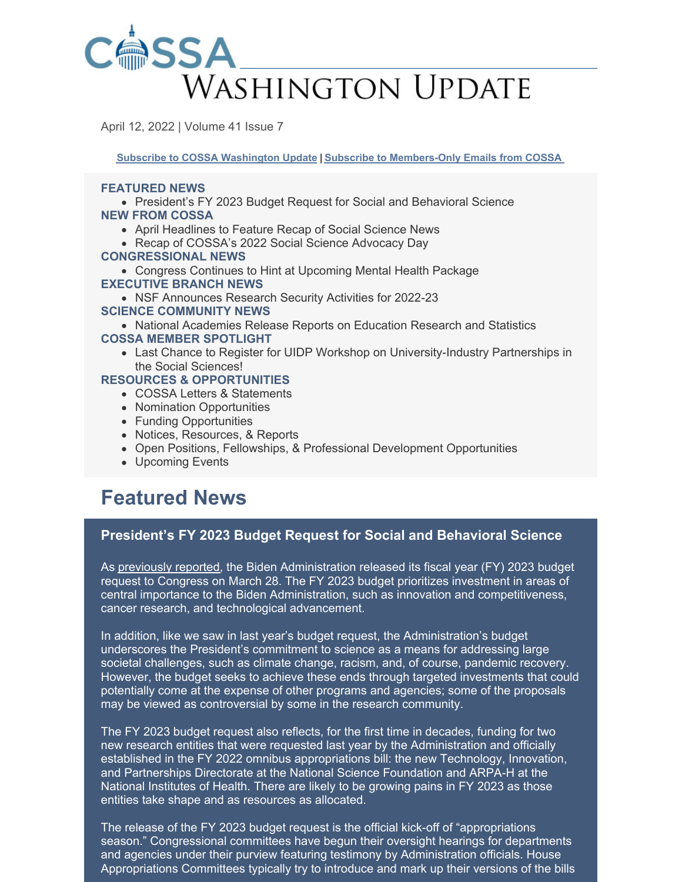

April 12, 2022 | Volume 41 Issue 7

**Subscribe to COSSA [Washington](https://www.cossa.org/washington-update/subscribe-update/) Update | Subscribe to [Members-Only](https://cossa.org/members/mm-subscribe/) Emails from COSSA**

#### **FEATURED NEWS**

President's FY 2023 Budget Request for Social and Behavioral Science **NEW FROM COSSA**

- April Headlines to Feature Recap of Social Science News
- Recap of COSSA's 2022 Social Science Advocacy Day

#### **CONGRESSIONAL NEWS**

- Congress Continues to Hint at Upcoming Mental Health Package **EXECUTIVE BRANCH NEWS**
	- NSF Announces Research Security Activities for 2022-23

#### **SCIENCE COMMUNITY NEWS**

- National Academies Release Reports on Education Research and Statistics **COSSA MEMBER SPOTLIGHT**
	- Last Chance to Register for UIDP Workshop on University-Industry Partnerships in the Social Sciences!

#### **RESOURCES & OPPORTUNITIES**

- COSSA Letters & Statements
- Nomination Opportunities
- Funding Opportunities
- Notices, Resources, & Reports
- Open Positions, Fellowships, & Professional Development Opportunities
- Upcoming Events

## **Featured News**

### **President's FY 2023 Budget Request for Social and Behavioral Science**

As [previously](https://cossa.org/2022/03/29/biden-administration-begins-rollout-of-fy-2023-budget-some-details-yet-to-be-published/) reported, the Biden Administration released its fiscal year (FY) 2023 budget request to Congress on March 28. The FY 2023 budget prioritizes investment in areas of central importance to the Biden Administration, such as innovation and competitiveness, cancer research, and technological advancement.

In addition, like we saw in last year's budget request, the Administration's budget underscores the President's commitment to science as a means for addressing large societal challenges, such as climate change, racism, and, of course, pandemic recovery. However, the budget seeks to achieve these ends through targeted investments that could potentially come at the expense of other programs and agencies; some of the proposals may be viewed as controversial by some in the research community.

The FY 2023 budget request also reflects, for the first time in decades, funding for two new research entities that were requested last year by the Administration and officially established in the FY 2022 omnibus appropriations bill: the new Technology, Innovation, and Partnerships Directorate at the National Science Foundation and ARPA-H at the National Institutes of Health. There are likely to be growing pains in FY 2023 as those entities take shape and as resources as allocated.

The release of the FY 2023 budget request is the official kick-off of "appropriations season." Congressional committees have begun their oversight hearings for departments and agencies under their purview featuring testimony by Administration officials. House Appropriations Committees typically try to introduce and mark up their versions of the bills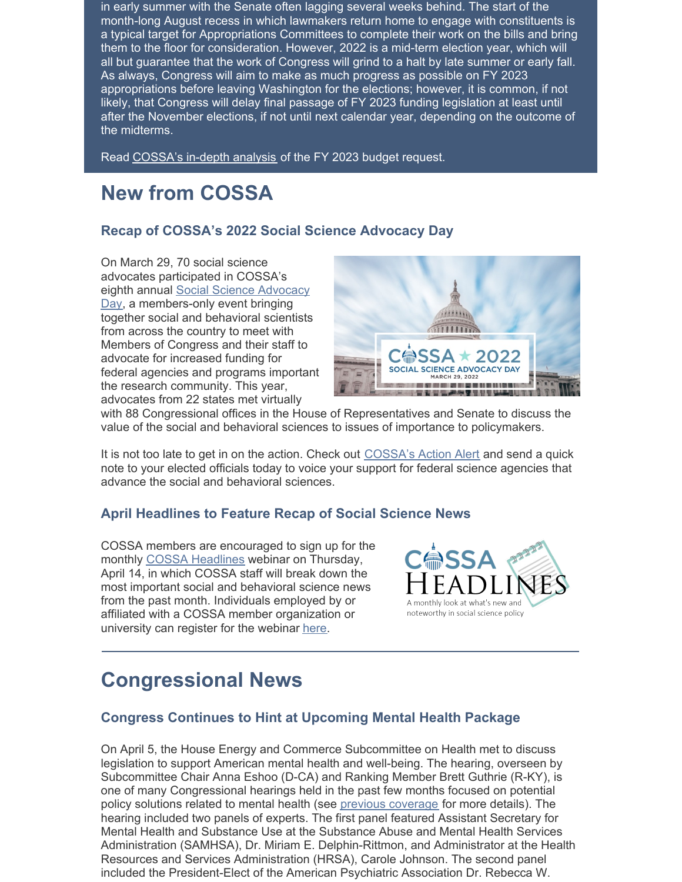in early summer with the Senate often lagging several weeks behind. The start of the month-long August recess in which lawmakers return home to engage with constituents is a typical target for Appropriations Committees to complete their work on the bills and bring them to the floor for consideration. However, 2022 is a mid-term election year, which will all but guarantee that the work of Congress will grind to a halt by late summer or early fall. As always, Congress will aim to make as much progress as possible on FY 2023 appropriations before leaving Washington for the elections; however, it is common, if not likely, that Congress will delay final passage of FY 2023 funding legislation at least until after the November elections, if not until next calendar year, depending on the outcome of the midterms.

Read [COSSA's](https://cossa.org/wp-content/uploads/2022/04/FY-2023-PBR-Analysis.pdf) in-depth analysis of the FY 2023 budget request.

# **New from COSSA**

### **Recap of COSSA's 2022 Social Science Advocacy Day**

On March 29, 70 social science advocates participated in COSSA's eighth annual Social Science Advocacy Day, a [members-only](https://cossa.org/advocacy-day/) event bringing together social and behavioral scientists from across the country to meet with Members of Congress and their staff to advocate for increased funding for federal agencies and programs important the research community. This year, advocates from 22 states met virtually



with 88 Congressional offices in the House of Representatives and Senate to discuss the value of the social and behavioral sciences to issues of importance to policymakers.

It is not too late to get in on the action. Check out [COSSA's](https://cossa.org/action-center/alerts/#/) Action Alert and send a quick note to your elected officials today to voice your support for federal science agencies that advance the social and behavioral sciences.

### **April Headlines to Feature Recap of Social Science News**

COSSA members are encouraged to sign up for the monthly COSSA [Headlines](https://cossa.org/events/category/cossa-event/headlines/) webinar on Thursday, April 14, in which COSSA staff will break down the most important social and behavioral science news from the past month. Individuals employed by or affiliated with a COSSA member organization or university can register for the webinar [here](https://us06web.zoom.us/meeting/register/tZYofuutrjsoEt3MA6qhDN_XawklB19-7kos).



## **Congressional News**

### **Congress Continues to Hint at Upcoming Mental Health Package**

On April 5, the House Energy and Commerce Subcommittee on Health met to discuss legislation to support American mental health and well-being. The hearing, overseen by Subcommittee Chair Anna Eshoo (D-CA) and Ranking Member Brett Guthrie (R-KY), is one of many Congressional hearings held in the past few months focused on potential policy solutions related to mental health (see previous [coverage](https://cossa.org/2022/03/01/congress-continues-focus-on-mental-health-in-subcommittee-hearing/) for more details). The hearing included two panels of experts. The first panel featured Assistant Secretary for Mental Health and Substance Use at the Substance Abuse and Mental Health Services Administration (SAMHSA), Dr. Miriam E. Delphin-Rittmon, and Administrator at the Health Resources and Services Administration (HRSA), Carole Johnson. The second panel included the President-Elect of the American Psychiatric Association Dr. Rebecca W.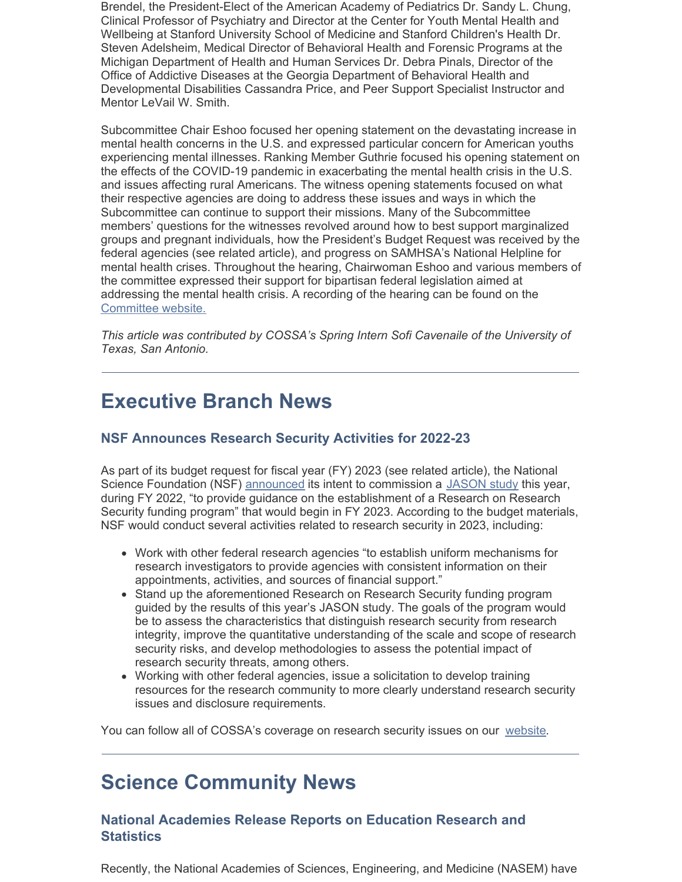Brendel, the President-Elect of the American Academy of Pediatrics Dr. Sandy L. Chung, Clinical Professor of Psychiatry and Director at the Center for Youth Mental Health and Wellbeing at Stanford University School of Medicine and Stanford Children's Health Dr. Steven Adelsheim, Medical Director of Behavioral Health and Forensic Programs at the Michigan Department of Health and Human Services Dr. Debra Pinals, Director of the Office of Addictive Diseases at the Georgia Department of Behavioral Health and Developmental Disabilities Cassandra Price, and Peer Support Specialist Instructor and Mentor LeVail W. Smith.

Subcommittee Chair Eshoo focused her opening statement on the devastating increase in mental health concerns in the U.S. and expressed particular concern for American youths experiencing mental illnesses. Ranking Member Guthrie focused his opening statement on the effects of the COVID-19 pandemic in exacerbating the mental health crisis in the U.S. and issues affecting rural Americans. The witness opening statements focused on what their respective agencies are doing to address these issues and ways in which the Subcommittee can continue to support their missions. Many of the Subcommittee members' questions for the witnesses revolved around how to best support marginalized groups and pregnant individuals, how the President's Budget Request was received by the federal agencies (see related article), and progress on SAMHSA's National Helpline for mental health crises. Throughout the hearing, Chairwoman Eshoo and various members of the committee expressed their support for bipartisan federal legislation aimed at addressing the mental health crisis. A recording of the hearing can be found on the [Committee](https://energycommerce.house.gov/subcommittees/health-117th-congress) website.

*This article was contributed by COSSA's Spring Intern Sofi Cavenaile of the University of Texas, San Antonio.*

# **Executive Branch News**

### **NSF Announces Research Security Activities for 2022-23**

As part of its budget request for fiscal year (FY) 2023 (see related article), the National Science Foundation (NSF) [announced](https://www.nsf.gov/about/budget/fy2023/pdf/01_fy2023.pdf) its intent to commission a [JASON](https://irp.fas.org/agency/dod/jason/) study this year, during FY 2022, "to provide guidance on the establishment of a Research on Research Security funding program" that would begin in FY 2023. According to the budget materials, NSF would conduct several activities related to research security in 2023, including:

- Work with other federal research agencies "to establish uniform mechanisms for research investigators to provide agencies with consistent information on their appointments, activities, and sources of financial support."
- Stand up the aforementioned Research on Research Security funding program guided by the results of this year's JASON study. The goals of the program would be to assess the characteristics that distinguish research security from research integrity, improve the quantitative understanding of the scale and scope of research security risks, and develop methodologies to assess the potential impact of research security threats, among others.
- Working with other federal agencies, issue a solicitation to develop training resources for the research community to more clearly understand research security issues and disclosure requirements.

You can follow all of COSSA's coverage on research security issues on our [website](https://cossa.org/tag/research-security/).

## **Science Community News**

### **National Academies Release Reports on Education Research and Statistics**

Recently, the National Academies of Sciences, Engineering, and Medicine (NASEM) have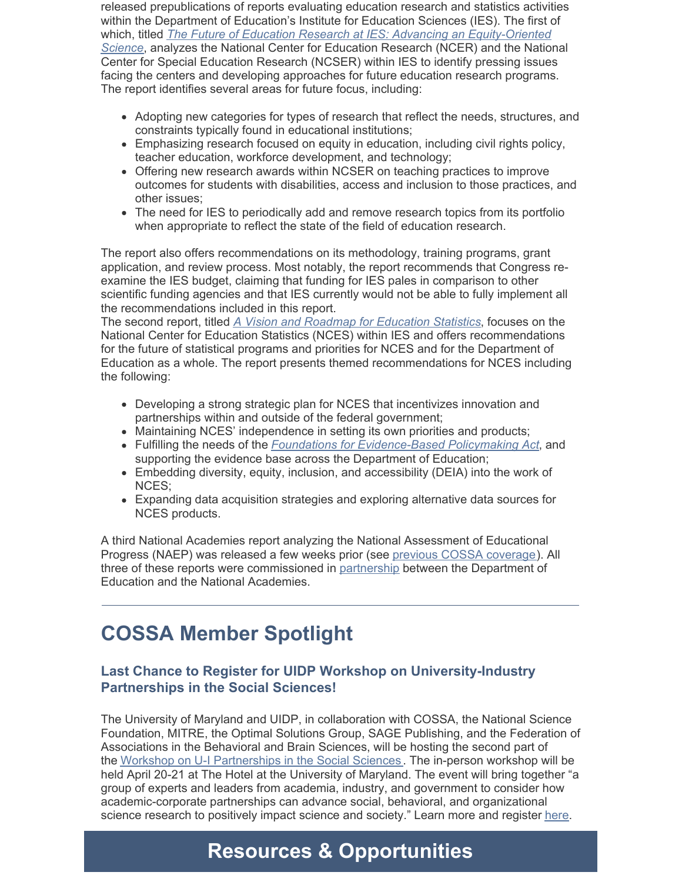released prepublications of reports evaluating education research and statistics activities within the Department of Education's Institute for Education Sciences (IES). The first of which, titled *The Future of Education Research at IES: Advancing an [Equity-Oriented](https://nap.nationalacademies.org/catalog/26428/the-future-of-education-research-at-ies-advancing-an-equity) Science*, analyzes the National Center for Education Research (NCER) and the National Center for Special Education Research (NCSER) within IES to identify pressing issues facing the centers and developing approaches for future education research programs. The report identifies several areas for future focus, including:

- Adopting new categories for types of research that reflect the needs, structures, and constraints typically found in educational institutions;
- Emphasizing research focused on equity in education, including civil rights policy, teacher education, workforce development, and technology;
- Offering new research awards within NCSER on teaching practices to improve outcomes for students with disabilities, access and inclusion to those practices, and other issues;
- The need for IES to periodically add and remove research topics from its portfolio when appropriate to reflect the state of the field of education research.

The report also offers recommendations on its methodology, training programs, grant application, and review process. Most notably, the report recommends that Congress reexamine the IES budget, claiming that funding for IES pales in comparison to other scientific funding agencies and that IES currently would not be able to fully implement all the recommendations included in this report.

The second report, titled *A Vision and Roadmap for [Education](https://nap.nationalacademies.org/catalog/26392/a-vision-and-roadmap-for-education-statistics) Statistics*, focuses on the National Center for Education Statistics (NCES) within IES and offers recommendations for the future of statistical programs and priorities for NCES and for the Department of Education as a whole. The report presents themed recommendations for NCES including the following:

- Developing a strong strategic plan for NCES that incentivizes innovation and partnerships within and outside of the federal government;
- Maintaining NCES' independence in setting its own priorities and products;
- Fulfilling the needs of the *[Foundations](https://cossa.org/tag/evidence-act/) fo[r](https://cossa.org/tag/evidence-act/) [Evidence-Based](https://cossa.org/tag/evidence-act/) Policymaking Act*, and supporting the evidence base across the Department of Education;
- Embedding diversity, equity, inclusion, and accessibility (DEIA) into the work of NCES;
- Expanding data acquisition strategies and exploring alternative data sources for NCES products.

A third National Academies report analyzing the National Assessment of Educational Progress (NAEP) was released a few weeks prior (see previous COSSA [coverage](https://cossa.org/2022/03/29/national-academies-release-recommendations-for-modernizing-naep/)). All three of these reports were commissioned in [partnership](https://cossa.org/2021/05/11/national-academies-convenes-activities-exploring-the-future-of-education-research-and-statistics/) between the Department of Education and the National Academies.

# **COSSA Member Spotlight**

## **Last Chance to Register for UIDP Workshop on University-Industry Partnerships in the Social Sciences!**

The University of Maryland and UIDP, in collaboration with COSSA, the National Science Foundation, MITRE, the Optimal Solutions Group, SAGE Publishing, and the Federation of Associations in the Behavioral and Brain Sciences, will be hosting the second part of the Workshop on U-I [Partnerships](https://web.cvent.com/event/0c18041e-136a-47df-a490-9911879f6233/summary) in the Social Sciences . The in-person workshop will be held April 20-21 at The Hotel at the University of Maryland. The event will bring together "a group of experts and leaders from academia, industry, and government to consider how academic-corporate partnerships can advance social, behavioral, and organizational science research to positively impact science and society." Learn more and register [here](https://web.cvent.com/event/0c18041e-136a-47df-a490-9911879f6233/summary).

# **Resources & Opportunities**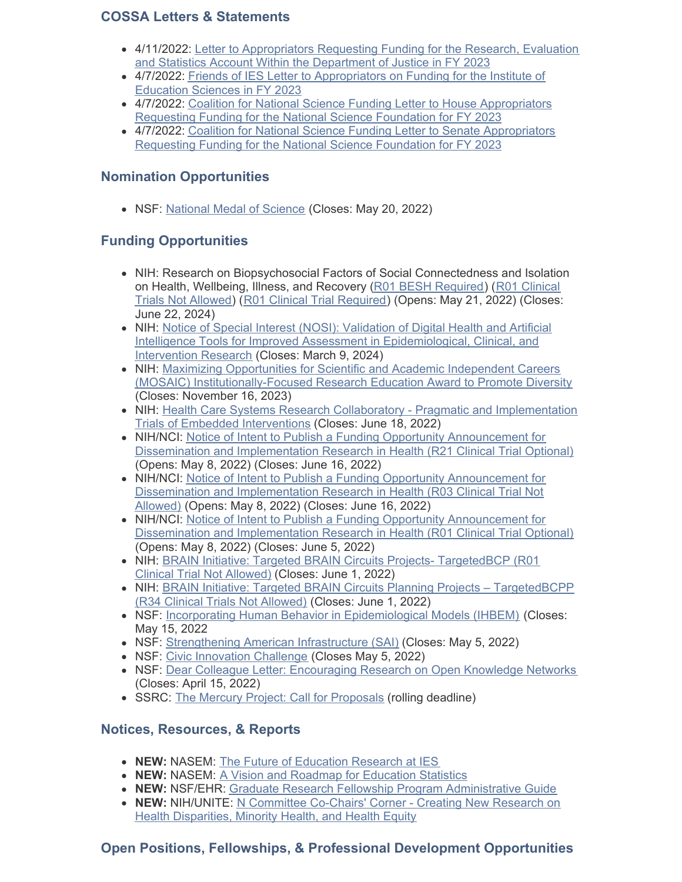### **COSSA Letters & Statements**

- 4/11/2022: Letter to [Appropriators](https://cossa.org/wp-content/uploads/2022/04/FY-2023-OJP-Sign-On-Final-April-22.pdf) Requesting Funding for the Research, Evaluation and Statistics Account Within the Department of Justice in FY 2023
- 4/7/2022: Friends of IES Letter to [Appropriators](https://cossa.org/wp-content/uploads/2022/04/FY2023-Friends-of-IES-Appropriations-Letter-FINAL.pdf) on Funding for the Institute of Education Sciences in FY 2023
- 4/7/2022: Coalition for National Science Funding Letter to House [Appropriators](https://cossa.org/wp-content/uploads/2022/04/CNSF-FY23-Letter-House.pdf) Requesting Funding for the National Science Foundation for FY 2023
- 4/7/2022: Coalition for National Science Funding Letter to Senate [Appropriators](https://cossa.org/wp-content/uploads/2022/04/CNSF-FY23-Letter-Senate.pdf) Requesting Funding for the National Science Foundation for FY 2023

## **Nomination Opportunities**

NSF: [National](https://www.nsf.gov/od/nms/nominations.jsp) Medal of Science (Closes: May 20, 2022)

## **Funding Opportunities**

- NIH: Research on Biopsychosocial Factors of Social Connectedness and Isolation on Health, [Wellbeing,](https://grants.nih.gov/grants/guide/pa-files/PAR-21-350.html) Illness, and Recovery (R01 BESH [Required](https://grants.nih.gov/grants/guide/pa-files/PAR-21-349.html)) (R01 Clinical Trials Not Allowed) (R01 Clinical Trial [Required](https://grants.nih.gov/grants/guide/pa-files/PAR-21-352.html)) (Opens: May 21, 2022) (Closes: June 22, 2024)
- NIH: Notice of Special Interest (NOSI): Validation of Digital Health and Artificial Intelligence Tools for Improved Assessment in [Epidemiological,](https://grants.nih.gov/grants/guide/notice-files/NOT-CA-22-037.html) Clinical, and Intervention Research (Closes: March 9, 2024)
- NIH: Maximizing Opportunities for Scientific and Academic Independent Careers (MOSAIC) [Institutionally-Focused](https://grants.nih.gov/grants/guide/pa-files/PAR-21-277.html) Research Education Award to Promote Diversity (Closes: November 16, 2023)
- NIH: Health Care Systems Research Collaboratory Pragmatic and [Implementation](https://grants.nih.gov/grants/guide/rfa-files/RFA-AT-22-001.html) Trials of Embedded Interventions (Closes: June 18, 2022)
- NIH/NCI: Notice of Intent to Publish a Funding Opportunity [Announcement](https://grants.nih.gov/grants/guide/notice-files/NOT-CA-22-043.html) for Dissemination and Implementation Research in Health (R21 Clinical Trial Optional) (Opens: May 8, 2022) (Closes: June 16, 2022)
- NIH/NCI: Notice of Intent to Publish a Funding Opportunity Announcement for Dissemination and [Implementation](https://grants.nih.gov/grants/guide/notice-files/NOT-CA-22-044.html) Research in Health (R03 Clinical Trial Not Allowed) (Opens: May 8, 2022) (Closes: June 16, 2022)
- NIH/NCI: Notice of Intent to Publish a Funding Opportunity [Announcement](https://grants.nih.gov/grants/guide/notice-files/NOT-CA-22-042.html) for Dissemination and Implementation Research in Health (R01 Clinical Trial Optional) (Opens: May 8, 2022) (Closes: June 5, 2022)
- NIH: BRAIN Initiative: Targeted BRAIN Circuits Projects- [TargetedBCP](https://grants.nih.gov/grants/guide/rfa-files/RFA-NS-22-026.html) (R01) Clinical Trial Not Allowed) (Closes: June 1, 2022)
- NIH: BRAIN Initiative: Targeted BRAIN Circuits Planning Projects [TargetedBCPP](https://grants.nih.gov/grants/guide/rfa-files/RFA-NS-22-027.html) (R34 Clinical Trials Not Allowed) (Closes: June 1, 2022)
- NSF: Incorporating Human Behavior in [Epidemiological](https://www.nsf.gov/pubs/2022/nsf22054/nsf22054.pdf) Models (IHBEM) (Closes: May 15, 2022
- NSF: [Strengthening](https://www.nsf.gov/pubs/2022/nsf22564/nsf22564.htm) American Infrastructure (SAI) (Closes: May 5, 2022)
- NSF: Civic [Innovation](https://www.nsf.gov/pubs/2022/nsf22565/nsf22565.htm) Challenge (Closes May 5, 2022)
- NSF: Dear Colleague Letter: [Encouraging](https://www.nsf.gov/pubs/2022/nsf22017/nsf22017.jsp) Research on Open Knowledge Networks (Closes: April 15, 2022)
- SSRC: The Mercury Project: Call for [Proposals](https://www.ssrc.org/programs/the-mercury-project/call-for-proposals/) (rolling deadline)

## **Notices, Resources, & Reports**

- **NEW:** NASEM: The Future of [Education](https://nap.nationalacademies.org/catalog/26428/the-future-of-education-research-at-ies-advancing-an-equity) Research at IES
- **NEW:** NASEM: A Vision and Roadmap for [Education](https://www.nationalacademies.org/our-work/a-vision-and-roadmap-for-education-statistics-in-2030-and-beyond) Statistics
- **NEW:** NSF/EHR: Graduate Research Fellowship Program [Administrative](https://www.nsf.gov/pubs/2022/nsf22067/nsf22067.pdf) Guide
- **NEW: [NIH/UNITE:](https://www.nih.gov/ending-structural-racism/creating-new-research-health-disparities-minority-health-health-equity) N Committee Co-Chairs' Corner Creating New Research on** Health Disparities, Minority Health, and Health Equity

## **Open Positions, Fellowships, & Professional Development Opportunities**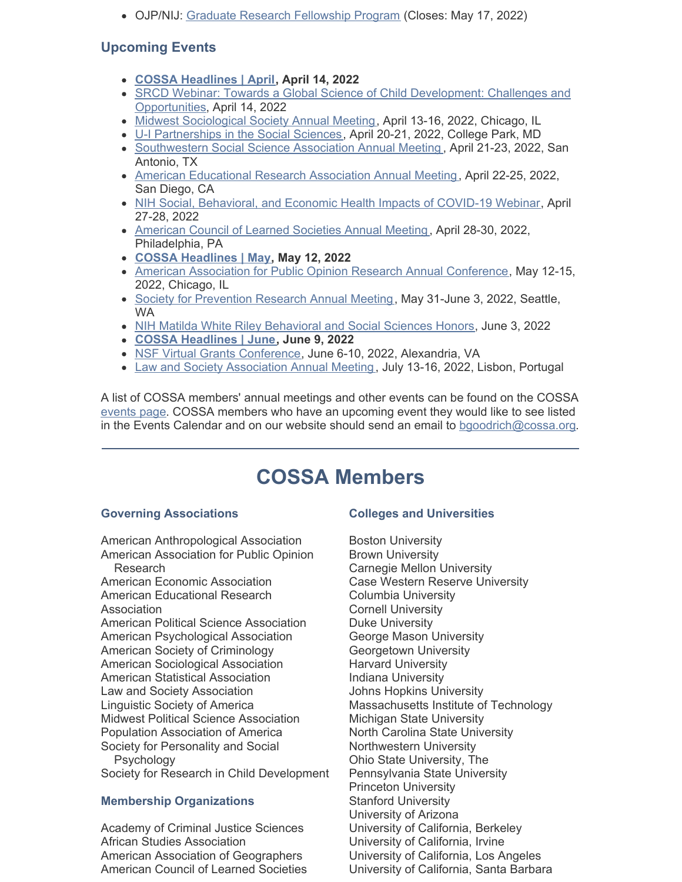• OJP/NIJ: Graduate Research [Fellowship](https://nij.ojp.gov/funding/fellowships/graduate-research-fellowship-program) Program (Closes: May 17, 2022)

## **Upcoming Events**

- **COSSA [Headlines](https://cossa.org/event/cossa-headlines-2022-04-14/) | April, April 14, 2022**
- SRCD Webinar: Towards a Global Science of Child [Development:](https://www.srcd.org/event/towards-global-science-child-development-challenges-and-opportunities) Challenges and Opportunities, April 14, 2022
- Midwest [Sociological](https://www.themss.org/annual-meeting) Society Annual Meeting, April 13-16, 2022, Chicago, IL
- U-I [Partnerships](https://web.cvent.com/event/0c18041e-136a-47df-a490-9911879f6233/) in the Social Sciences, April 20-21, 2022, College Park, MD
- [Southwestern](https://sssaonline.org/annual-meeting/2021-annual-meeting/) Social Science Association Annual Meeting, April 21-23, 2022, San Antonio, TX
- American [Educational](https://www.aera.net/Events-Meetings/Annual-Meeting/2022-Annual-Meeting-Presidential-Program-Theme) Research Association Annual Meeting, April 22-25, 2022, San Diego, CA
- NIH Social, [Behavioral,](https://www.eventbrite.com/e/april-27-28-nih-social-behavioral-economic-covid-19-health-impacts-registration-241394225627) and Economic Health Impacts of COVID-19 Webinar, April 27-28, 2022
- [American](https://www.acls.org/annual-meetings/) Council of Learned Societies Annual Meeting, April 28-30, 2022, Philadelphia, PA
- **COSSA [Headlines](https://cossa.org/event/cossa-headlines-2022-05-12/2022-05-12/) | May, May 12, 2022**
- American Association for Public Opinion Research Annual [Conference](https://www.aapor.org/Conference-Events/Annual-Meeting.aspx), May 12-15, 2022, Chicago, IL
- **Society for [Prevention](https://www.preventionresearch.org/2022-annual-meeting/) Research Annual Meeting, May 31-June 3, 2022, Seattle,** WA
- NIH Matilda White Riley [Behavioral](https://obssr.od.nih.gov/news-and-events/events/15th-nih-matilda-white-riley-behavioral-and-social-sciences-honors) and Social Sciences Honors, June 3, 2022
- **COSSA [Headlines](https://cossa.org/event/cossa-headlines-2022-05-12/2022-06-09/) | June, June 9, 2022**
- NSF Virtual Grants [Conference](https://www.nsf.gov/events/event_summ.jsp?cntn_id=304696), June 6-10, 2022, Alexandria, VA
- Law and Society [Association](https://www.lawandsociety.org/lisbon-2022-homepage/) Annual Meeting, July 13-16, 2022, Lisbon, Portugal

A list of COSSA members' annual meetings and other events can be found on the COSSA [events](http://r20.rs6.net/tn.jsp?t=7h6by74ab.0.0.5hidabdab.0&id=preview&r=3&p=http%3A%2F%2Fwww.cossa.org%2Fevents%2F) page. COSSA members who have an upcoming event they would like to see listed in the Events Calendar and on our website should send an email to [bgoodrich@cossa.org](mailto:bgoodrich@cossa.org).

# **COSSA Members**

### **Governing Associations**

American Anthropological Association American Association for Public Opinion Research

American Economic Association American Educational Research Association American Political Science Association American Psychological Association American Society of Criminology American Sociological Association American Statistical Association Law and Society Association Linguistic Society of America Midwest Political Science Association Population Association of America Society for Personality and Social Psychology

Society for Research in Child Development

### **Membership Organizations**

Academy of Criminal Justice Sciences African Studies Association American Association of Geographers American Council of Learned Societies

### **Colleges and Universities**

Boston University Brown University Carnegie Mellon University Case Western Reserve University Columbia University Cornell University Duke University George Mason University Georgetown University Harvard University Indiana University Johns Hopkins University Massachusetts Institute of Technology Michigan State University North Carolina State University Northwestern University Ohio State University, The Pennsylvania State University Princeton University Stanford University University of Arizona University of California, Berkeley University of California, Irvine University of California, Los Angeles University of California, Santa Barbara